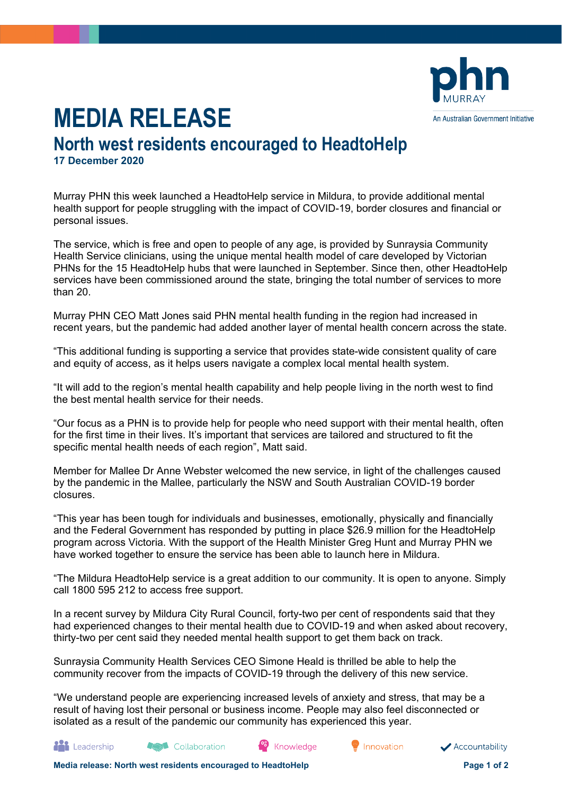

## **MEDIA RELEASE**

## **North west residents encouraged to HeadtoHelp 17 December 2020**

Murray PHN this week launched a HeadtoHelp service in Mildura, to provide additional mental health support for people struggling with the impact of COVID-19, border closures and financial or personal issues.

The service, which is free and open to people of any age, is provided by Sunraysia Community Health Service clinicians, using the unique mental health model of care developed by Victorian PHNs for the 15 HeadtoHelp hubs that were launched in September. Since then, other HeadtoHelp services have been commissioned around the state, bringing the total number of services to more than 20.

Murray PHN CEO Matt Jones said PHN mental health funding in the region had increased in recent years, but the pandemic had added another layer of mental health concern across the state.

"This additional funding is supporting a service that provides state-wide consistent quality of care and equity of access, as it helps users navigate a complex local mental health system.

"It will add to the region's mental health capability and help people living in the north west to find the best mental health service for their needs.

"Our focus as a PHN is to provide help for people who need support with their mental health, often for the first time in their lives. It's important that services are tailored and structured to fit the specific mental health needs of each region", Matt said.

Member for Mallee Dr Anne Webster welcomed the new service, in light of the challenges caused by the pandemic in the Mallee, particularly the NSW and South Australian COVID-19 border closures.

"This year has been tough for individuals and businesses, emotionally, physically and financially and the Federal Government has responded by putting in place \$26.9 million for the HeadtoHelp program across Victoria. With the support of the Health Minister Greg Hunt and Murray PHN we have worked together to ensure the service has been able to launch here in Mildura.

"The Mildura HeadtoHelp service is a great addition to our community. It is open to anyone. Simply call 1800 595 212 to access free support.

In a recent survey by Mildura City Rural Council, forty-two per cent of respondents said that they had experienced changes to their mental health due to COVID-19 and when asked about recovery, thirty-two per cent said they needed mental health support to get them back on track.

Sunraysia Community Health Services CEO Simone Heald is thrilled be able to help the community recover from the impacts of COVID-19 through the delivery of this new service.

"We understand people are experiencing increased levels of anxiety and stress, that may be a result of having lost their personal or business income. People may also feel disconnected or isolated as a result of the pandemic our community has experienced this year.

Knowledge

Accountability